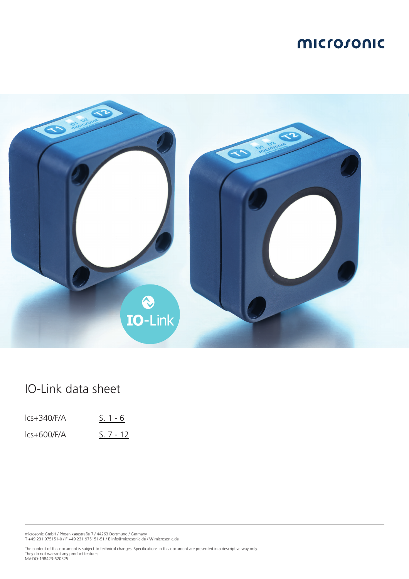

## IO-Link data sheet

| $lcs + 340/F/A$ | $S. 1 - 6$ |
|-----------------|------------|
| $lcs+600/F/A$   | $S.7 - 12$ |

microsonic GmbH / Phoenixseestraße 7 / 44263 Dortmund / Germany T +49 231 975151-0 / F +49 231 975151-51 / E info@microsonic.de / W microsonic.de

The content of this document is subject to technical changes. Specifications in this document are presented in a descriptive way only. They do not warrant any product features. MV-DO-198423-620325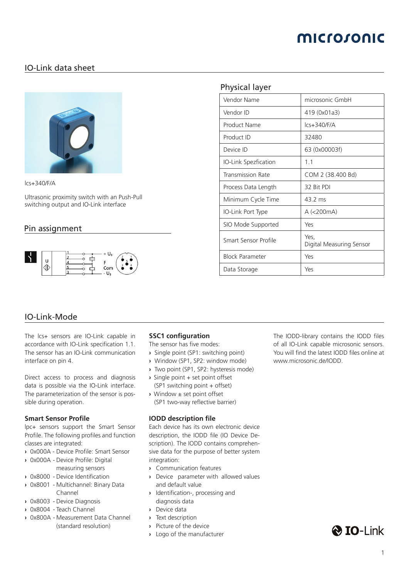## <span id="page-1-0"></span>IO-Link data sheet



lcs+340/F/A

Ultrasonic proximity switch with an Push-Pull switching output and IO-Link interface

### Pin assignment



### Physical layer

| Vendor Name              | microsonic GmbH                  |
|--------------------------|----------------------------------|
| Vendor ID                | 419 (0x01a3)                     |
| <b>Product Name</b>      | $lcs + 340/F/A$                  |
| Product ID               | 32480                            |
| Device ID                | 63 (0x00003f)                    |
| IO-Link Spezfication     | 1.1                              |
| <b>Transmission Rate</b> | COM 2 (38.400 Bd)                |
| Process Data Length      | 32 Bit PDI                       |
| Minimum Cycle Time       | 43.2 ms                          |
| IO-Link Port Type        | A (<200mA)                       |
| SIO Mode Supported       | Yes                              |
| Smart Sensor Profile     | Yes,<br>Digital Measuring Sensor |
| <b>Block Parameter</b>   | Yes                              |
| Data Storage             | Yes                              |

### IO-Link-Mode

The lcs+ sensors are IO-Link capable in accordance with IO-Link specification 1.1. The sensor has an IO-Link communication interface on pin 4.

Direct access to process and diagnosis data is possible via the IO-Link interface. The parameterization of the sensor is possible during operation.

### **Smart Sensor Profile**

lpc+ sensors support the Smart Sensor Profile. The following profiles and function classes are integrated:

- **›** 0x000A Device Profile: Smart Sensor
- **›** 0x000A Device Profile: Digital measuring sensors
- **›** 0x8000 Device Identification
- **›** 0x8001 Multichannel: Binary Data Channel
- **›** 0x8003 Device Diagnosis
- **›** 0x8004 Teach Channel
- **›** 0x800A Measurement Data Channel (standard resolution)

### **SSC1 configuration**

- The sensor has five modes:
- **›** Single point (SP1: switching point)
- **›** Window (SP1, SP2: window mode)
- **›** Two point (SP1, SP2: hysteresis mode)
- **›** Single point + set point offset (SP1 switching point + offset)
- **›** Window ± set point offset (SP1 two-way reflective barrier)

#### **IODD description file**

Each device has its own electronic device description, the IODD file (IO Device Description). The IODD contains comprehensive data for the purpose of better system integration:

- **›** Communication features
- **›** Device parameter with allowed values and default value
- **›** Identification-, processing and diagnosis data
- **›** Device data
- **›** Text description
- **›** Picture of the device
- **›** Logo of the manufacturer

The IODD-library contains the IODD files of all IO-Link capable microsonic sensors. You will find the latest IODD files online at www.microsonic.de/IODD.

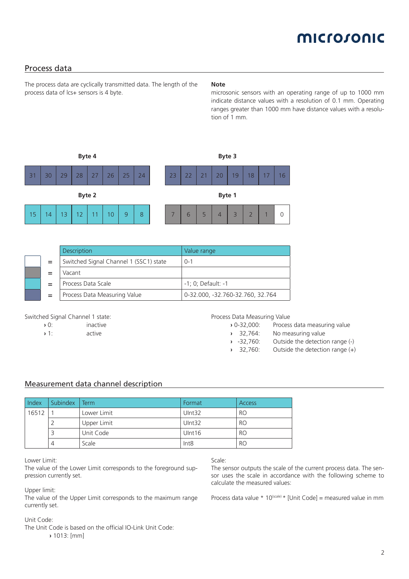# microsonic

### Process data

The process data are cyclically transmitted data. The length of the process data of lcs+ sensors is 4 byte.

#### **Note**

microsonic sensors with an operating range of up to 1000 mm indicate distance values with a resolution of 0.1 mm. Operating ranges greater than 1000 mm have distance values with a resolution of 1 mm.



|     | <b>Description</b>                     | Value range                      |
|-----|----------------------------------------|----------------------------------|
| $=$ | Switched Signal Channel 1 (SSC1) state | $0 - 1$                          |
|     | Vacant                                 |                                  |
|     | Process Data Scale                     | $-1$ ; 0; Default: $-1$          |
| $=$ | Process Data Measuring Value           | 0-32.000, -32.760-32.760, 32.764 |

#### Switched Signal Channel 1 state:

**›** 1: active

Process Data Measuring Value

- **›** 0-32,000: Process data measuring value
- **›** 32,764: No measuring value
	-
- **›** -32,760: Outside the detection range (-) Outside the detection range (+)

### Measurement data channel description

| Index | Subindex | Term        | Format | <b>Access</b> |
|-------|----------|-------------|--------|---------------|
| 16512 |          | Lower Limit | Ulnt32 | RO            |
|       |          | Upper Limit | Ulnt32 | RO            |
|       |          | Unit Code   | Ulnt16 | RO            |
|       |          | Scale       | Int8   | RO            |

Lower Limit:

The value of the Lower Limit corresponds to the foreground suppression currently set.

Upper limit:

The value of the Upper Limit corresponds to the maximum range currently set.

#### Unit Code:

The Unit Code is based on the official IO-Link Unit Code:

**›** 1013: [mm]

#### Scale:

The sensor outputs the scale of the current process data. The sensor uses the scale in accordance with the following scheme to calculate the measured values:

Process data value  $* 10$ <sup>(scale)</sup>  $*$  [Unit Code] = measured value in mm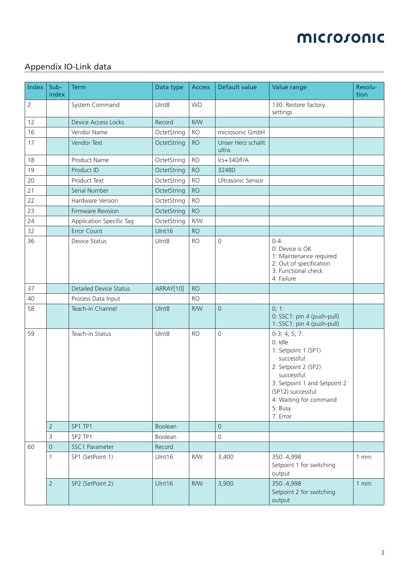## Appendix IO-Link data

| <b>Index</b>   | Sub-<br>index  | <b>Term</b>                   | Data type         | <b>Access</b> | Default value                | Value range                                                                                                                                                                                                | Resolu-<br>tion |
|----------------|----------------|-------------------------------|-------------------|---------------|------------------------------|------------------------------------------------------------------------------------------------------------------------------------------------------------------------------------------------------------|-----------------|
| $\overline{2}$ |                | System Command                | Ulnt <sub>8</sub> | <b>WO</b>     |                              | 130: Restore factory<br>settings                                                                                                                                                                           |                 |
| 12             |                | <b>Device Access Locks</b>    | Record            | <b>R/W</b>    |                              |                                                                                                                                                                                                            |                 |
| 16             |                | Vendor Name                   | OctetString       | <b>RO</b>     | microsonic GmbH              |                                                                                                                                                                                                            |                 |
| 17             |                | Vendor Text                   | OctetString       | <b>RO</b>     | Unser Herz schallt<br>ultra. |                                                                                                                                                                                                            |                 |
| 18             |                | <b>Product Name</b>           | OctetString       | <b>RO</b>     | $lcs + 340/F/A$              |                                                                                                                                                                                                            |                 |
| 19             |                | Product ID                    | OctetString       | <b>RO</b>     | 32480                        |                                                                                                                                                                                                            |                 |
| 20             |                | Product Text                  | OctetString       | <b>RO</b>     | Ultrasonic Sensor            |                                                                                                                                                                                                            |                 |
| 21             |                | Serial Number                 | OctetString       | <b>RO</b>     |                              |                                                                                                                                                                                                            |                 |
| 22             |                | Hardware Version              | OctetString       | <b>RO</b>     |                              |                                                                                                                                                                                                            |                 |
| 23             |                | Firmware Revision             | OctetString       | <b>RO</b>     |                              |                                                                                                                                                                                                            |                 |
| 24             |                | Application Specific Tag      | OctetString       | <b>R/W</b>    |                              |                                                                                                                                                                                                            |                 |
| 32             |                | <b>Error Count</b>            | Ulnt16            | <b>RO</b>     |                              |                                                                                                                                                                                                            |                 |
| 36             |                | Device Status                 | Ulnt8             | <b>RO</b>     | $\mathbf 0$                  | $0 - 4:$<br>0: Device is OK<br>1: Maintenance required<br>2: Out of specification<br>3: Functional check<br>4: Failure                                                                                     |                 |
| 37             |                | <b>Detailed Device Status</b> | ARRAY[10]         | <b>RO</b>     |                              |                                                                                                                                                                                                            |                 |
| 40             |                | Process Data Input            |                   | <b>RO</b>     |                              |                                                                                                                                                                                                            |                 |
| 58             |                | Teach-in Channel              | UInt8             | <b>R/W</b>    | $\mathsf{O}\xspace$          | 0; 1:<br>0: SSC1: pin 4 (push-pull)<br>1: SSC1: pin 4 (push-pull)                                                                                                                                          |                 |
| 59             |                | Teach-in Status               | UInt8             | <b>RO</b>     | $\mathbf 0$                  | $0-3; 4; 5; 7:$<br>0: Idle<br>1: Setpoint 1 (SP1)<br>successful<br>2: Setpoint 2 (SP2)<br>successful<br>3: Setpoint 1 and Setpoint 2<br>(SP12) successful<br>4: Waiting for command<br>5: Busy<br>7: Error |                 |
|                | $\overline{2}$ | SP1 TP1                       | Boolean           |               | $\overline{0}$               |                                                                                                                                                                                                            |                 |
|                | 3              | SP2 TP1                       | Boolean           |               | $\mathsf{O}\xspace$          |                                                                                                                                                                                                            |                 |
| 60             | $\mathbf 0$    | SSC1 Parameter                | Record            |               |                              |                                                                                                                                                                                                            |                 |
|                | 1              | SP1 (SetPoint 1)              | Ulnt16            | <b>R/W</b>    | 3,400                        | 350.4,998<br>Setpoint 1 for switching<br>output                                                                                                                                                            | 1mm             |
|                | $\overline{2}$ | SP2 (SetPoint 2)              | Ulnt16            | <b>R/W</b>    | 3,900                        | 350.4,998<br>Setpoint 2 for switching<br>output                                                                                                                                                            | 1mm             |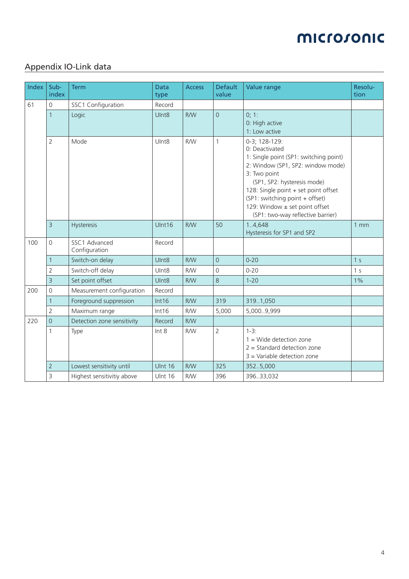## Appendix IO-Link data

| Index | Sub-<br>index       | <b>Term</b>                    | <b>Data</b><br>type | <b>Access</b> | <b>Default</b><br>value | Value range                                                                                                                                                                                                                                                                                                     | Resolu-<br>tion |
|-------|---------------------|--------------------------------|---------------------|---------------|-------------------------|-----------------------------------------------------------------------------------------------------------------------------------------------------------------------------------------------------------------------------------------------------------------------------------------------------------------|-----------------|
| 61    | $\overline{0}$      | SSC1 Configuration             | Record              |               |                         |                                                                                                                                                                                                                                                                                                                 |                 |
|       | $\mathbf{1}$        | Logic                          | UInt8               | <b>R/W</b>    | $\overline{0}$          | 0; 1:<br>0: High active<br>1: Low active                                                                                                                                                                                                                                                                        |                 |
|       | $\overline{2}$      | Mode                           | UInt8               | <b>R/W</b>    | $\mathbf{1}$            | 0-3; 128-129:<br>0: Deactivated<br>1: Single point (SP1: switching point)<br>2: Window (SP1, SP2: window mode)<br>3: Two point<br>(SP1, SP2: hysteresis mode)<br>128: Single point + set point offset<br>(SP1: switching point + offset)<br>129: Window ± set point offset<br>(SP1: two-way reflective barrier) |                 |
|       | 3                   | Hysteresis                     | UInt16              | <b>R/W</b>    | 50                      | 1.4,648<br>Hysteresis for SP1 and SP2                                                                                                                                                                                                                                                                           | 1mm             |
| 100   | $\mathbf 0$         | SSC1 Advanced<br>Configuration | Record              |               |                         |                                                                                                                                                                                                                                                                                                                 |                 |
|       | $\mathbf{1}$        | Switch-on delay                | UInt <sub>8</sub>   | <b>R/W</b>    | $\overline{0}$          | $0 - 20$                                                                                                                                                                                                                                                                                                        | 1 <sub>s</sub>  |
|       | $\overline{2}$      | Switch-off delay               | UInt <sub>8</sub>   | <b>R/W</b>    | 0                       | $0 - 20$                                                                                                                                                                                                                                                                                                        | 1 <sub>s</sub>  |
|       | 3                   | Set point offset               | UInt8               | <b>R/W</b>    | 8                       | $1 - 20$                                                                                                                                                                                                                                                                                                        | $1\%$           |
| 200   | $\mathsf{O}\xspace$ | Measurement configuration      | Record              |               |                         |                                                                                                                                                                                                                                                                                                                 |                 |
|       | 1                   | Foreground suppression         | Int16               | <b>R/W</b>    | 319                     | 319.1,050                                                                                                                                                                                                                                                                                                       |                 |
|       | $\overline{2}$      | Maximum range                  | Int16               | <b>R/W</b>    | 5,000                   | 5,0009,999                                                                                                                                                                                                                                                                                                      |                 |
| 220   | $\overline{0}$      | Detection zone sensitivity     | Record              | <b>R/W</b>    |                         |                                                                                                                                                                                                                                                                                                                 |                 |
|       | 1                   | Type                           | Int 8               | <b>R/W</b>    | $\overline{2}$          | $1-3:$<br>$1 =$ Wide detection zone<br>$2 =$ Standard detection zone<br>$3$ = Variable detection zone                                                                                                                                                                                                           |                 |
|       | $\overline{2}$      | Lowest sensitivity until       | <b>Ulnt 16</b>      | <b>R/W</b>    | 325                     | 352.5,000                                                                                                                                                                                                                                                                                                       |                 |
|       | 3                   | Highest sensitivitiy above     | Ulnt 16             | <b>R/W</b>    | 396                     | 396.33,032                                                                                                                                                                                                                                                                                                      |                 |

<u> 1980 - Johann Barn, mars an t-Amerikaansk ferske omr</u>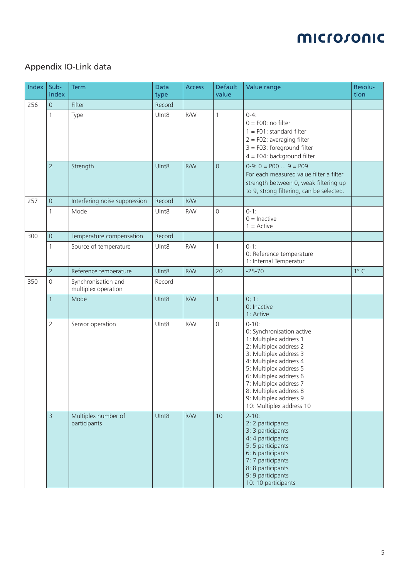## Appendix IO-Link data

| Index | Sub-<br>index       | <b>Term</b>                                | <b>Data</b><br>type | <b>Access</b> | <b>Default</b><br>value | Value range                                                                                                                                                                                                                                                                                                   | Resolu-<br>tion |
|-------|---------------------|--------------------------------------------|---------------------|---------------|-------------------------|---------------------------------------------------------------------------------------------------------------------------------------------------------------------------------------------------------------------------------------------------------------------------------------------------------------|-----------------|
| 256   | $\mathsf{O}\xspace$ | Filter                                     | Record              |               |                         |                                                                                                                                                                                                                                                                                                               |                 |
|       | 1                   | Type                                       | UInt8               | <b>R/W</b>    | $\mathbf{1}$            | $0 - 4:$<br>$0 = F00$ : no filter<br>$1 = F01$ : standard filter<br>$2 = F02$ : averaging filter<br>$3 = F03$ : foreground filter<br>$4 = F04$ : background filter                                                                                                                                            |                 |
|       | $\overline{2}$      | Strength                                   | UInt8               | <b>R/W</b>    | $\overline{0}$          | $0-9: 0 = P00  9 = P09$<br>For each measured value filter a filter<br>strength between 0, weak filtering up<br>to 9, strong filtering, can be selected.                                                                                                                                                       |                 |
| 257   | $\overline{0}$      | Interfering noise suppression              | Record              | <b>R/W</b>    |                         |                                                                                                                                                                                                                                                                                                               |                 |
|       | 1                   | Mode                                       | Ulnt8               | <b>R/W</b>    | 0                       | $0-1:$<br>$0 =$ Inactive<br>$1 =$ Active                                                                                                                                                                                                                                                                      |                 |
| 300   | $\mathsf{O}\xspace$ | Temperature compensation                   | Record              |               |                         |                                                                                                                                                                                                                                                                                                               |                 |
|       | 1                   | Source of temperature                      | UInt8               | <b>R/W</b>    | 1                       | $0-1:$<br>0: Reference temperature<br>1: Internal Temperatur                                                                                                                                                                                                                                                  |                 |
|       | $\overline{2}$      | Reference temperature                      | UInt8               | <b>R/W</b>    | 20                      | $-25 - 70$                                                                                                                                                                                                                                                                                                    | $1^{\circ}$ C   |
| 350   | 0                   | Synchronisation and<br>multiplex operation | Record              |               |                         |                                                                                                                                                                                                                                                                                                               |                 |
|       | $\mathbf{1}$        | Mode                                       | UInt8               | <b>R/W</b>    | 1                       | 0; 1:<br>0: Inactive<br>1: Active                                                                                                                                                                                                                                                                             |                 |
|       | $\overline{2}$      | Sensor operation                           | UInt8               | <b>R/W</b>    | 0                       | $0 - 10$ :<br>0: Synchronisation active<br>1: Multiplex address 1<br>2: Multiplex address 2<br>3: Multiplex address 3<br>4: Multiplex address 4<br>5: Multiplex address 5<br>6: Multiplex address 6<br>7: Multiplex address 7<br>8: Multiplex address 8<br>9: Multiplex address 9<br>10: Multiplex address 10 |                 |
|       | 3                   | Multiplex number of<br>participants        | UInt8               | <b>R/W</b>    | 10                      | $2 - 10$ :<br>2: 2 participants<br>3: 3 participants<br>4: 4 participants<br>5: 5 participants<br>6: 6 participants<br>7: 7 participants<br>8: 8 participants<br>9: 9 participants<br>10: 10 participants                                                                                                     |                 |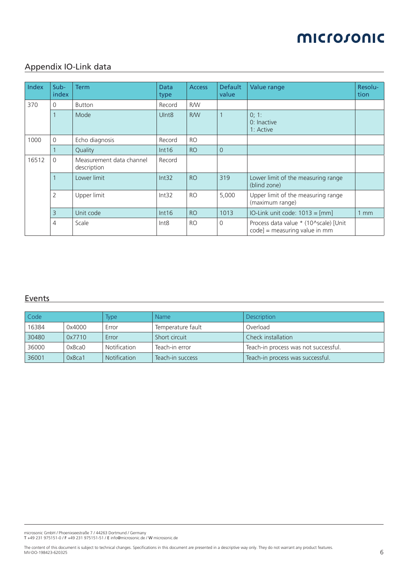## Appendix IO-Link data

| Index | $Sub-$<br>index | <b>Term</b>                             | <b>Data</b><br>type | <b>Access</b> | <b>Default</b><br>value | Value range                                                              | Resolu-<br>tion |
|-------|-----------------|-----------------------------------------|---------------------|---------------|-------------------------|--------------------------------------------------------------------------|-----------------|
| 370   | $\Omega$        | <b>Button</b>                           | Record              | <b>R/W</b>    |                         |                                                                          |                 |
|       | $\mathbf 1$     | Mode                                    | UInt <sub>8</sub>   | <b>R/W</b>    |                         | 0; 1:<br>0: Inactive<br>1: Active                                        |                 |
| 1000  | $\Omega$        | Echo diagnosis                          | Record              | <b>RO</b>     |                         |                                                                          |                 |
|       |                 | Quality                                 | Int16               | <b>RO</b>     | $\Omega$                |                                                                          |                 |
| 16512 | $\Omega$        | Measurement data channel<br>description | Record              |               |                         |                                                                          |                 |
|       | $\mathbf{1}$    | Lower limit                             | Int32               | <b>RO</b>     | 319                     | Lower limit of the measuring range<br>(blind zone)                       |                 |
|       | $\overline{2}$  | Upper limit                             | Int32               | <b>RO</b>     | 5,000                   | Upper limit of the measuring range<br>(maximum range)                    |                 |
|       | $\overline{3}$  | Unit code                               | Int16               | <b>RO</b>     | 1013                    | IO-Link unit code: $1013 = [mm]$                                         | $1 \text{ mm}$  |
|       | $\overline{4}$  | Scale                                   | Int8                | <b>RO</b>     | $\Omega$                | Process data value * (10^scale) [Unit<br>$code]$ = measuring value in mm |                 |

## **Events**

| Code<br>Type |        | <b>Name</b>         | <b>Description</b> |                                      |
|--------------|--------|---------------------|--------------------|--------------------------------------|
| 16384        | 0x4000 | Error               | Temperature fault  | Overload                             |
| 30480        | 0x7710 | Error               | Short circuit      | Check installation                   |
| 36000        | 0x8ca0 | Notification        | Teach-in error     | Teach-in process was not successful. |
| 36001        | 0x8ca1 | <b>Notification</b> | Teach-in success   | Teach-in process was successful.     |

microsonic GmbH / Phoenixseestraße 7 / 44263 Dortmund / Germany T +49 231 975151-0 / F +49 231 975151-51 / E info@microsonic.de / W microsonic.de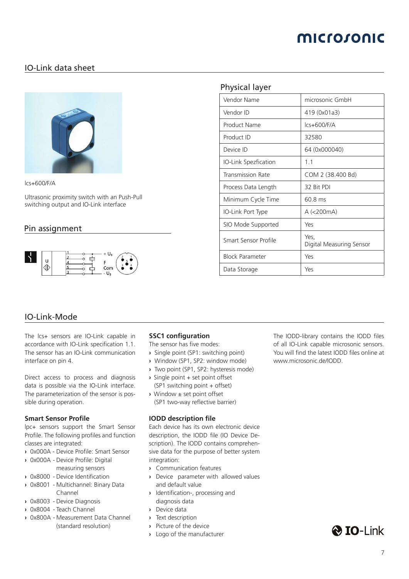# microsonic

## <span id="page-7-0"></span>IO-Link data sheet



lcs+600/F/A

Ultrasonic proximity switch with an Push-Pull switching output and IO-Link interface

### Pin assignment



### Physical layer

| Vendor Name              | microsonic GmbH                  |
|--------------------------|----------------------------------|
| Vendor ID                | 419 (0x01a3)                     |
| Product Name             | Ics+600/F/A                      |
| Product ID               | 32580                            |
| Device ID                | 64 (0x000040)                    |
| IO-Link Spezfication     | 1.1                              |
| <b>Transmission Rate</b> | COM 2 (38.400 Bd)                |
| Process Data Length      | 32 Bit PDI                       |
| Minimum Cycle Time       | $60.8$ ms                        |
| IO-Link Port Type        | A (<200mA)                       |
| SIO Mode Supported       | Yes                              |
| Smart Sensor Profile     | Yes,<br>Digital Measuring Sensor |
| <b>Block Parameter</b>   | Yes                              |
| Data Storage             | Yes                              |

### IO-Link-Mode

The lcs+ sensors are IO-Link capable in accordance with IO-Link specification 1.1. The sensor has an IO-Link communication interface on pin 4.

Direct access to process and diagnosis data is possible via the IO-Link interface. The parameterization of the sensor is possible during operation.

### **Smart Sensor Profile**

lpc+ sensors support the Smart Sensor Profile. The following profiles and function classes are integrated:

- **›** 0x000A Device Profile: Smart Sensor
- **›** 0x000A Device Profile: Digital measuring sensors
- **›** 0x8000 Device Identification
- **›** 0x8001 Multichannel: Binary Data Channel
- **›** 0x8003 Device Diagnosis
- **›** 0x8004 Teach Channel
- **›** 0x800A Measurement Data Channel (standard resolution)

### **SSC1 configuration**

- The sensor has five modes:
- **›** Single point (SP1: switching point)
- **›** Window (SP1, SP2: window mode)
- **›** Two point (SP1, SP2: hysteresis mode)
- **›** Single point + set point offset (SP1 switching point + offset)
- **›** Window ± set point offset (SP1 two-way reflective barrier)

### **IODD description file**

Each device has its own electronic device description, the IODD file (IO Device Description). The IODD contains comprehensive data for the purpose of better system integration:

- **›** Communication features
- **›** Device parameter with allowed values and default value
- **›** Identification-, processing and diagnosis data
- **›** Device data
- **›** Text description
- **›** Picture of the device
- **›** Logo of the manufacturer

The IODD-library contains the IODD files of all IO-Link capable microsonic sensors. You will find the latest IODD files online at www.microsonic.de/IODD.

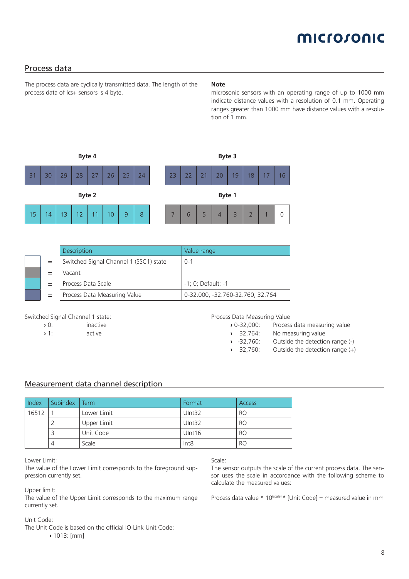# microsonic

### Process data

The process data are cyclically transmitted data. The length of the process data of lcs+ sensors is 4 byte.

#### **Note**

microsonic sensors with an operating range of up to 1000 mm indicate distance values with a resolution of 0.1 mm. Operating ranges greater than 1000 mm have distance values with a resolution of 1 mm.



|     | <b>Description</b>                     | Value range                      |
|-----|----------------------------------------|----------------------------------|
| $=$ | Switched Signal Channel 1 (SSC1) state | $0 - 1$                          |
|     | Vacant                                 |                                  |
|     | Process Data Scale                     | $-1$ ; 0; Default: $-1$          |
| $=$ | Process Data Measuring Value           | 0-32.000, -32.760-32.760, 32.764 |

#### Switched Signal Channel 1 state:

| $\lambda$ 0: | inactive |
|--------------|----------|
|              |          |

**›** 1: active

Process Data Measuring Value

- **›** 0-32,000: Process data measuring value
- **›** 32,764: No measuring value
	-
- **›** -32,760: Outside the detection range (-) Outside the detection range (+)

### Measurement data channel description

| Index | Subindex | Term        | Format           | <b>Access</b> |
|-------|----------|-------------|------------------|---------------|
| 16512 |          | Lower Limit | UInt32           | RO            |
|       |          | Upper Limit | UInt32           | RO            |
|       |          | Unit Code   | Uint16           | RO            |
|       | 4        | Scale       | Int <sub>8</sub> | RO            |

Lower Limit:

The value of the Lower Limit corresponds to the foreground suppression currently set.

Upper limit:

The value of the Upper Limit corresponds to the maximum range currently set.

#### Unit Code:

The Unit Code is based on the official IO-Link Unit Code:

**›** 1013: [mm]

#### Scale:

The sensor outputs the scale of the current process data. The sensor uses the scale in accordance with the following scheme to calculate the measured values:

Process data value  $* 10$ <sup>(scale)</sup>  $*$  [Unit Code] = measured value in mm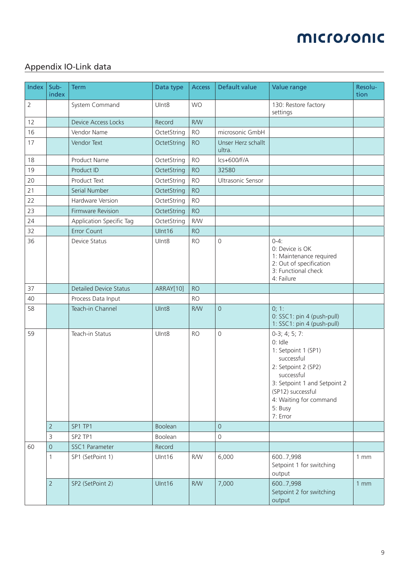## Appendix IO-Link data

| Index          | Sub-<br>index       | <b>Term</b>                   | Data type         | <b>Access</b> | Default value                | Value range                                                                                                                                                                                                | Resolu-<br>tion |
|----------------|---------------------|-------------------------------|-------------------|---------------|------------------------------|------------------------------------------------------------------------------------------------------------------------------------------------------------------------------------------------------------|-----------------|
| $\overline{2}$ |                     | System Command                | Ulnt <sub>8</sub> | <b>WO</b>     |                              | 130: Restore factory<br>settings                                                                                                                                                                           |                 |
| 12             |                     | <b>Device Access Locks</b>    | Record            | <b>R/W</b>    |                              |                                                                                                                                                                                                            |                 |
| 16             |                     | Vendor Name                   | OctetString       | <b>RO</b>     | microsonic GmbH              |                                                                                                                                                                                                            |                 |
| 17             |                     | Vendor Text                   | OctetString       | <b>RO</b>     | Unser Herz schallt<br>ultra. |                                                                                                                                                                                                            |                 |
| 18             |                     | Product Name                  | OctetString       | <b>RO</b>     | $lcs+600/F/A$                |                                                                                                                                                                                                            |                 |
| 19             |                     | Product ID                    | OctetString       | <b>RO</b>     | 32580                        |                                                                                                                                                                                                            |                 |
| 20             |                     | Product Text                  | OctetString       | <b>RO</b>     | Ultrasonic Sensor            |                                                                                                                                                                                                            |                 |
| 21             |                     | Serial Number                 | OctetString       | <b>RO</b>     |                              |                                                                                                                                                                                                            |                 |
| 22             |                     | Hardware Version              | OctetString       | <b>RO</b>     |                              |                                                                                                                                                                                                            |                 |
| 23             |                     | Firmware Revision             | OctetString       | <b>RO</b>     |                              |                                                                                                                                                                                                            |                 |
| 24             |                     | Application Specific Tag      | OctetString       | <b>R/W</b>    |                              |                                                                                                                                                                                                            |                 |
| 32             |                     | <b>Error Count</b>            | UInt16            | <b>RO</b>     |                              |                                                                                                                                                                                                            |                 |
| 36             |                     | Device Status                 | Ulnt8             | <b>RO</b>     | $\mathbf 0$                  | $0 - 4:$<br>0: Device is OK<br>1: Maintenance required<br>2: Out of specification<br>3: Functional check<br>4: Failure                                                                                     |                 |
| 37             |                     | <b>Detailed Device Status</b> | ARRAY[10]         | <b>RO</b>     |                              |                                                                                                                                                                                                            |                 |
| 40             |                     | Process Data Input            |                   | <b>RO</b>     |                              |                                                                                                                                                                                                            |                 |
| 58             |                     | Teach-in Channel              | UInt8             | <b>R/W</b>    | $\mathbf 0$                  | 0; 1:<br>0: SSC1: pin 4 (push-pull)<br>1: SSC1: pin 4 (push-pull)                                                                                                                                          |                 |
| 59             |                     | Teach-in Status               | UInt8             | <b>RO</b>     | $\mathbf 0$                  | $0-3; 4; 5; 7:$<br>0: Idle<br>1: Setpoint 1 (SP1)<br>successful<br>2: Setpoint 2 (SP2)<br>successful<br>3: Setpoint 1 and Setpoint 2<br>(SP12) successful<br>4: Waiting for command<br>5: Busy<br>7: Error |                 |
|                | $\overline{2}$      | SP1 TP1                       | <b>Boolean</b>    |               | $\overline{0}$               |                                                                                                                                                                                                            |                 |
|                | 3                   | SP2 TP1                       | Boolean           |               | $\mathbf 0$                  |                                                                                                                                                                                                            |                 |
| 60             | $\mathsf{O}\xspace$ | SSC1 Parameter                | Record            |               |                              |                                                                                                                                                                                                            |                 |
|                | $\mathbf{1}$        | SP1 (SetPoint 1)              | Ulnt16            | <b>R/W</b>    | 6,000                        | 600.7,998<br>Setpoint 1 for switching<br>output                                                                                                                                                            | 1mm             |
|                | $\overline{2}$      | SP2 (SetPoint 2)              | Ulnt16            | <b>R/W</b>    | 7,000                        | 600.7,998<br>Setpoint 2 for switching<br>output                                                                                                                                                            | 1mm             |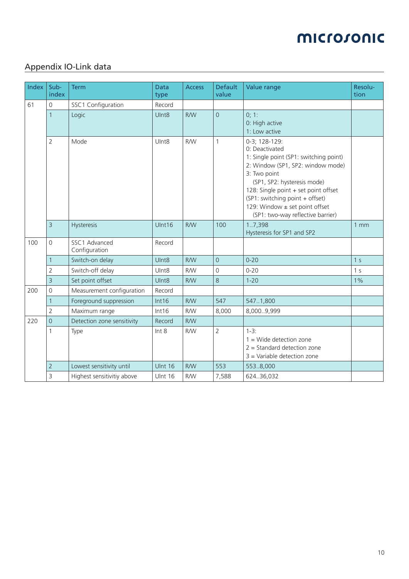## Appendix IO-Link data

| <b>Index</b> | Sub-<br>index  | <b>Term</b>                    | <b>Data</b><br>type | <b>Access</b> | <b>Default</b><br>value | Value range                                                                                                                                                                                                                                                                                                     | Resolu-<br>tion |
|--------------|----------------|--------------------------------|---------------------|---------------|-------------------------|-----------------------------------------------------------------------------------------------------------------------------------------------------------------------------------------------------------------------------------------------------------------------------------------------------------------|-----------------|
| 61           | $\mathbf 0$    | SSC1 Configuration             | Record              |               |                         |                                                                                                                                                                                                                                                                                                                 |                 |
|              | $\mathbf{1}$   | Logic                          | UInt <sub>8</sub>   | <b>R/W</b>    | $\overline{0}$          | 0; 1:<br>0: High active<br>1: Low active                                                                                                                                                                                                                                                                        |                 |
|              | 2              | Mode                           | UInt8               | <b>R/W</b>    | 1                       | 0-3; 128-129:<br>0: Deactivated<br>1: Single point (SP1: switching point)<br>2: Window (SP1, SP2: window mode)<br>3: Two point<br>(SP1, SP2: hysteresis mode)<br>128: Single point + set point offset<br>(SP1: switching point + offset)<br>129: Window ± set point offset<br>(SP1: two-way reflective barrier) |                 |
|              | $\overline{3}$ | Hysteresis                     | Ulnt16              | <b>R/W</b>    | 100                     | 1.7,398<br>Hysteresis for SP1 and SP2                                                                                                                                                                                                                                                                           | 1mm             |
| 100          | $\mathbf 0$    | SSC1 Advanced<br>Configuration | Record              |               |                         |                                                                                                                                                                                                                                                                                                                 |                 |
|              | 1              | Switch-on delay                | UInt8               | <b>R/W</b>    | $\overline{0}$          | $0 - 20$                                                                                                                                                                                                                                                                                                        | 1 <sub>s</sub>  |
|              | $\overline{2}$ | Switch-off delay               | UInt8               | R/W           | 0                       | $0 - 20$                                                                                                                                                                                                                                                                                                        | 1 <sub>s</sub>  |
|              | $\overline{3}$ | Set point offset               | UInt8               | R/W           | 8                       | $1 - 20$                                                                                                                                                                                                                                                                                                        | $1\%$           |
| 200          | $\mathbf 0$    | Measurement configuration      | Record              |               |                         |                                                                                                                                                                                                                                                                                                                 |                 |
|              | 1              | Foreground suppression         | Int16               | <b>R/W</b>    | 547                     | 547.1,800                                                                                                                                                                                                                                                                                                       |                 |
|              | $\overline{2}$ | Maximum range                  | Int16               | <b>R/W</b>    | 8,000                   | 8,0009,999                                                                                                                                                                                                                                                                                                      |                 |
| 220          | $\overline{0}$ | Detection zone sensitivity     | Record              | <b>R/W</b>    |                         |                                                                                                                                                                                                                                                                                                                 |                 |
|              | 1              | Type                           | Int 8               | <b>R/W</b>    | 2                       | $1-3:$<br>$1 =$ Wide detection zone<br>$2 =$ Standard detection zone<br>$3$ = Variable detection zone                                                                                                                                                                                                           |                 |
|              | $\overline{2}$ | Lowest sensitivity until       | <b>Ulnt 16</b>      | <b>R/W</b>    | 553                     | 553.8,000                                                                                                                                                                                                                                                                                                       |                 |
|              | 3              | Highest sensitivitiy above     | Ulnt 16             | <b>R/W</b>    | 7,588                   | 624.36,032                                                                                                                                                                                                                                                                                                      |                 |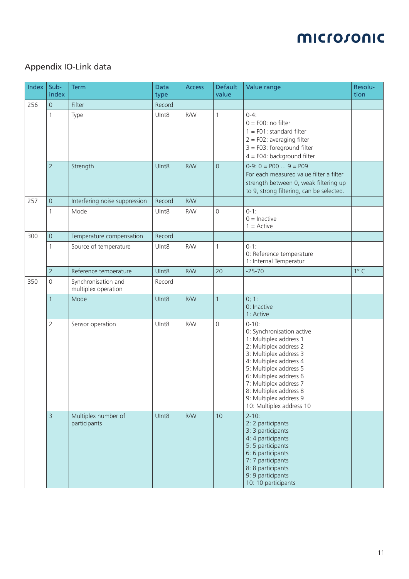## Appendix IO-Link data

| Index | Sub-<br>index       | <b>Term</b>                                | <b>Data</b><br>type | <b>Access</b> | <b>Default</b><br>value | Value range                                                                                                                                                                                                                                                                                                   | Resolu-<br>tion |
|-------|---------------------|--------------------------------------------|---------------------|---------------|-------------------------|---------------------------------------------------------------------------------------------------------------------------------------------------------------------------------------------------------------------------------------------------------------------------------------------------------------|-----------------|
| 256   | $\mathsf{O}\xspace$ | Filter                                     | Record              |               |                         |                                                                                                                                                                                                                                                                                                               |                 |
|       | 1                   | Type                                       | UInt8               | <b>R/W</b>    | $\mathbf{1}$            | $0 - 4:$<br>$0 = F00$ : no filter<br>$1 = F01$ : standard filter<br>$2 = F02$ : averaging filter<br>$3 = F03$ : foreground filter<br>$4 = F04$ : background filter                                                                                                                                            |                 |
|       | $\overline{2}$      | Strength                                   | UInt8               | <b>R/W</b>    | $\overline{0}$          | $0-9: 0 = P00 9 = P09$<br>For each measured value filter a filter<br>strength between 0, weak filtering up<br>to 9, strong filtering, can be selected.                                                                                                                                                        |                 |
| 257   | $\overline{0}$      | Interfering noise suppression              | Record              | <b>R/W</b>    |                         |                                                                                                                                                                                                                                                                                                               |                 |
|       | 1                   | Mode                                       | Ulnt8               | R/W           | 0                       | $0-1:$<br>$0 =$ Inactive<br>$1 =$ Active                                                                                                                                                                                                                                                                      |                 |
| 300   | $\mathsf{O}\xspace$ | Temperature compensation                   | Record              |               |                         |                                                                                                                                                                                                                                                                                                               |                 |
|       | 1                   | Source of temperature                      | UInt8               | <b>R/W</b>    | $\mathbf{1}$            | $0-1:$<br>0: Reference temperature<br>1: Internal Temperatur                                                                                                                                                                                                                                                  |                 |
|       | $\overline{2}$      | Reference temperature                      | UInt8               | <b>R/W</b>    | 20                      | $-25 - 70$                                                                                                                                                                                                                                                                                                    | $1^{\circ}$ C   |
| 350   | $\mathsf{O}\xspace$ | Synchronisation and<br>multiplex operation | Record              |               |                         |                                                                                                                                                                                                                                                                                                               |                 |
|       | 1                   | Mode                                       | UInt8               | <b>R/W</b>    | $\mathbf{1}$            | 0; 1:<br>0: Inactive<br>1: Active                                                                                                                                                                                                                                                                             |                 |
|       | $\overline{2}$      | Sensor operation                           | UInt8               | <b>R/W</b>    | 0                       | $0 - 10$ :<br>0: Synchronisation active<br>1: Multiplex address 1<br>2: Multiplex address 2<br>3: Multiplex address 3<br>4: Multiplex address 4<br>5: Multiplex address 5<br>6: Multiplex address 6<br>7: Multiplex address 7<br>8: Multiplex address 8<br>9: Multiplex address 9<br>10: Multiplex address 10 |                 |
|       | $\overline{3}$      | Multiplex number of<br>participants        | UInt8               | <b>R/W</b>    | 10                      | $2 - 10$ :<br>2: 2 participants<br>3: 3 participants<br>4: 4 participants<br>5: 5 participants<br>6: 6 participants<br>7: 7 participants<br>8: 8 participants<br>9: 9 participants<br>10: 10 participants                                                                                                     |                 |